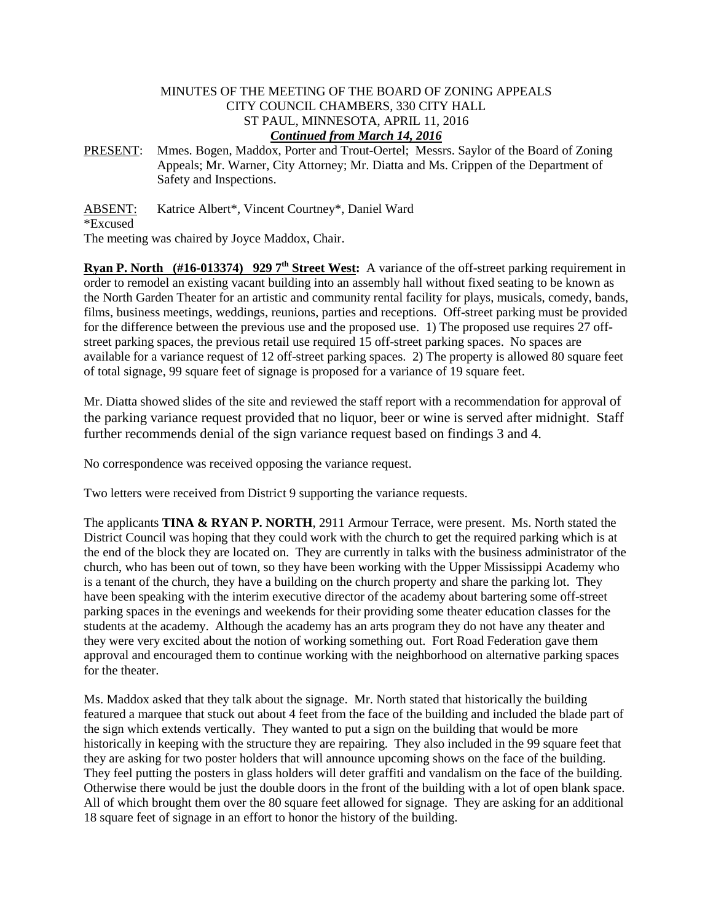## MINUTES OF THE MEETING OF THE BOARD OF ZONING APPEALS CITY COUNCIL CHAMBERS, 330 CITY HALL ST PAUL, MINNESOTA, APRIL 11, 2016 *Continued from March 14, 2016*

PRESENT: Mmes. Bogen, Maddox, Porter and Trout-Oertel; Messrs. Saylor of the Board of Zoning Appeals; Mr. Warner, City Attorney; Mr. Diatta and Ms. Crippen of the Department of Safety and Inspections.

ABSENT: Katrice Albert\*, Vincent Courtney\*, Daniel Ward

\*Excused

The meeting was chaired by Joyce Maddox, Chair.

**Ryan P.** North (#16-013374) 929 7<sup>th</sup> Street West: A variance of the off-street parking requirement in order to remodel an existing vacant building into an assembly hall without fixed seating to be known as the North Garden Theater for an artistic and community rental facility for plays, musicals, comedy, bands, films, business meetings, weddings, reunions, parties and receptions. Off-street parking must be provided for the difference between the previous use and the proposed use. 1) The proposed use requires 27 offstreet parking spaces, the previous retail use required 15 off-street parking spaces. No spaces are available for a variance request of 12 off-street parking spaces. 2) The property is allowed 80 square feet of total signage, 99 square feet of signage is proposed for a variance of 19 square feet.

Mr. Diatta showed slides of the site and reviewed the staff report with a recommendation for approval of the parking variance request provided that no liquor, beer or wine is served after midnight. Staff further recommends denial of the sign variance request based on findings 3 and 4.

No correspondence was received opposing the variance request.

Two letters were received from District 9 supporting the variance requests.

The applicants **TINA & RYAN P. NORTH**, 2911 Armour Terrace, were present. Ms. North stated the District Council was hoping that they could work with the church to get the required parking which is at the end of the block they are located on. They are currently in talks with the business administrator of the church, who has been out of town, so they have been working with the Upper Mississippi Academy who is a tenant of the church, they have a building on the church property and share the parking lot. They have been speaking with the interim executive director of the academy about bartering some off-street parking spaces in the evenings and weekends for their providing some theater education classes for the students at the academy. Although the academy has an arts program they do not have any theater and they were very excited about the notion of working something out. Fort Road Federation gave them approval and encouraged them to continue working with the neighborhood on alternative parking spaces for the theater.

Ms. Maddox asked that they talk about the signage. Mr. North stated that historically the building featured a marquee that stuck out about 4 feet from the face of the building and included the blade part of the sign which extends vertically. They wanted to put a sign on the building that would be more historically in keeping with the structure they are repairing. They also included in the 99 square feet that they are asking for two poster holders that will announce upcoming shows on the face of the building. They feel putting the posters in glass holders will deter graffiti and vandalism on the face of the building. Otherwise there would be just the double doors in the front of the building with a lot of open blank space. All of which brought them over the 80 square feet allowed for signage. They are asking for an additional 18 square feet of signage in an effort to honor the history of the building.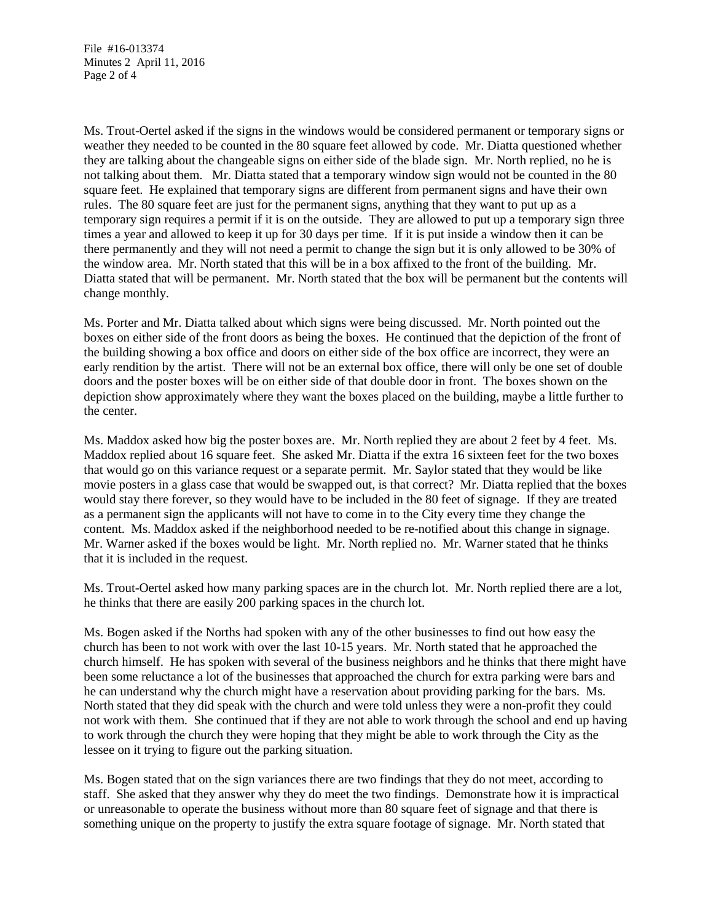File #16-013374 Minutes 2 April 11, 2016 Page 2 of 4

Ms. Trout-Oertel asked if the signs in the windows would be considered permanent or temporary signs or weather they needed to be counted in the 80 square feet allowed by code. Mr. Diatta questioned whether they are talking about the changeable signs on either side of the blade sign. Mr. North replied, no he is not talking about them. Mr. Diatta stated that a temporary window sign would not be counted in the 80 square feet. He explained that temporary signs are different from permanent signs and have their own rules. The 80 square feet are just for the permanent signs, anything that they want to put up as a temporary sign requires a permit if it is on the outside. They are allowed to put up a temporary sign three times a year and allowed to keep it up for 30 days per time. If it is put inside a window then it can be there permanently and they will not need a permit to change the sign but it is only allowed to be 30% of the window area. Mr. North stated that this will be in a box affixed to the front of the building. Mr. Diatta stated that will be permanent. Mr. North stated that the box will be permanent but the contents will change monthly.

Ms. Porter and Mr. Diatta talked about which signs were being discussed. Mr. North pointed out the boxes on either side of the front doors as being the boxes. He continued that the depiction of the front of the building showing a box office and doors on either side of the box office are incorrect, they were an early rendition by the artist. There will not be an external box office, there will only be one set of double doors and the poster boxes will be on either side of that double door in front. The boxes shown on the depiction show approximately where they want the boxes placed on the building, maybe a little further to the center.

Ms. Maddox asked how big the poster boxes are. Mr. North replied they are about 2 feet by 4 feet. Ms. Maddox replied about 16 square feet. She asked Mr. Diatta if the extra 16 sixteen feet for the two boxes that would go on this variance request or a separate permit. Mr. Saylor stated that they would be like movie posters in a glass case that would be swapped out, is that correct? Mr. Diatta replied that the boxes would stay there forever, so they would have to be included in the 80 feet of signage. If they are treated as a permanent sign the applicants will not have to come in to the City every time they change the content. Ms. Maddox asked if the neighborhood needed to be re-notified about this change in signage. Mr. Warner asked if the boxes would be light. Mr. North replied no. Mr. Warner stated that he thinks that it is included in the request.

Ms. Trout-Oertel asked how many parking spaces are in the church lot. Mr. North replied there are a lot, he thinks that there are easily 200 parking spaces in the church lot.

Ms. Bogen asked if the Norths had spoken with any of the other businesses to find out how easy the church has been to not work with over the last 10-15 years. Mr. North stated that he approached the church himself. He has spoken with several of the business neighbors and he thinks that there might have been some reluctance a lot of the businesses that approached the church for extra parking were bars and he can understand why the church might have a reservation about providing parking for the bars. Ms. North stated that they did speak with the church and were told unless they were a non-profit they could not work with them. She continued that if they are not able to work through the school and end up having to work through the church they were hoping that they might be able to work through the City as the lessee on it trying to figure out the parking situation.

Ms. Bogen stated that on the sign variances there are two findings that they do not meet, according to staff. She asked that they answer why they do meet the two findings. Demonstrate how it is impractical or unreasonable to operate the business without more than 80 square feet of signage and that there is something unique on the property to justify the extra square footage of signage. Mr. North stated that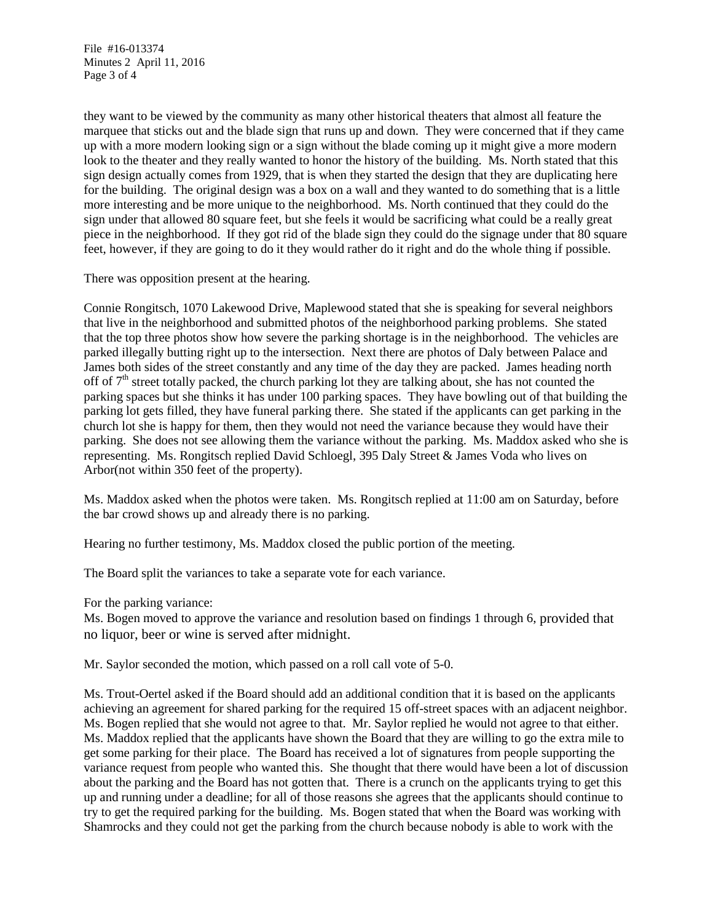File #16-013374 Minutes 2 April 11, 2016 Page 3 of 4

they want to be viewed by the community as many other historical theaters that almost all feature the marquee that sticks out and the blade sign that runs up and down. They were concerned that if they came up with a more modern looking sign or a sign without the blade coming up it might give a more modern look to the theater and they really wanted to honor the history of the building. Ms. North stated that this sign design actually comes from 1929, that is when they started the design that they are duplicating here for the building. The original design was a box on a wall and they wanted to do something that is a little more interesting and be more unique to the neighborhood. Ms. North continued that they could do the sign under that allowed 80 square feet, but she feels it would be sacrificing what could be a really great piece in the neighborhood. If they got rid of the blade sign they could do the signage under that 80 square feet, however, if they are going to do it they would rather do it right and do the whole thing if possible.

There was opposition present at the hearing.

Connie Rongitsch, 1070 Lakewood Drive, Maplewood stated that she is speaking for several neighbors that live in the neighborhood and submitted photos of the neighborhood parking problems. She stated that the top three photos show how severe the parking shortage is in the neighborhood. The vehicles are parked illegally butting right up to the intersection. Next there are photos of Daly between Palace and James both sides of the street constantly and any time of the day they are packed. James heading north off of  $7<sup>th</sup>$  street totally packed, the church parking lot they are talking about, she has not counted the parking spaces but she thinks it has under 100 parking spaces. They have bowling out of that building the parking lot gets filled, they have funeral parking there. She stated if the applicants can get parking in the church lot she is happy for them, then they would not need the variance because they would have their parking. She does not see allowing them the variance without the parking. Ms. Maddox asked who she is representing. Ms. Rongitsch replied David Schloegl, 395 Daly Street & James Voda who lives on Arbor(not within 350 feet of the property).

Ms. Maddox asked when the photos were taken. Ms. Rongitsch replied at 11:00 am on Saturday, before the bar crowd shows up and already there is no parking.

Hearing no further testimony, Ms. Maddox closed the public portion of the meeting.

The Board split the variances to take a separate vote for each variance.

For the parking variance:

Ms. Bogen moved to approve the variance and resolution based on findings 1 through 6, provided that no liquor, beer or wine is served after midnight.

Mr. Saylor seconded the motion, which passed on a roll call vote of 5-0.

Ms. Trout-Oertel asked if the Board should add an additional condition that it is based on the applicants achieving an agreement for shared parking for the required 15 off-street spaces with an adjacent neighbor. Ms. Bogen replied that she would not agree to that. Mr. Saylor replied he would not agree to that either. Ms. Maddox replied that the applicants have shown the Board that they are willing to go the extra mile to get some parking for their place. The Board has received a lot of signatures from people supporting the variance request from people who wanted this. She thought that there would have been a lot of discussion about the parking and the Board has not gotten that. There is a crunch on the applicants trying to get this up and running under a deadline; for all of those reasons she agrees that the applicants should continue to try to get the required parking for the building. Ms. Bogen stated that when the Board was working with Shamrocks and they could not get the parking from the church because nobody is able to work with the